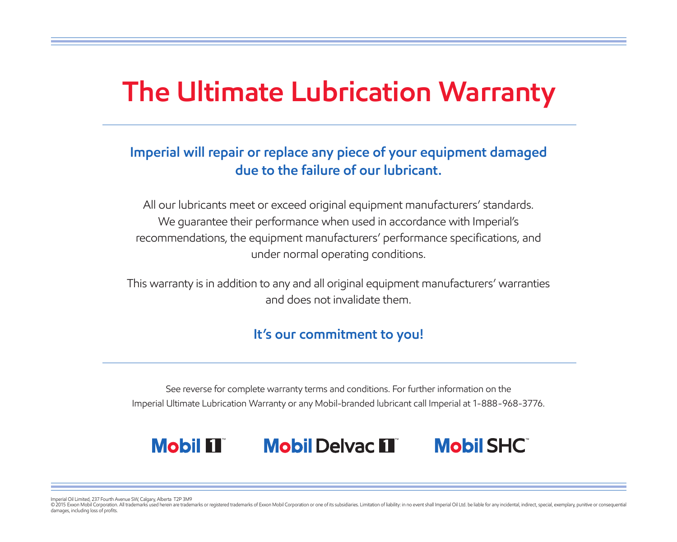# **The Ultimate Lubrication Warranty**

## **Imperial will repair or replace any piece of your equipment damaged due to the failure of our lubricant.**

All our lubricants meet or exceed original equipment manufacturers' standards. We guarantee their performance when used in accordance with Imperial's recommendations, the equipment manufacturers' performance specifications, and under normal operating conditions.

This warranty is in addition to any and all original equipment manufacturers' warranties and does not invalidate them.

## **It's our commitment to you!**

See reverse for complete warranty terms and conditions. For further information on the Imperial Ultimate Lubrication Warranty or any Mobil-branded lubricant call Imperial at 1-888-968-3776.

## **Mobil II Mobil Delvac II Mobil SHC**

Imperial Oil Limited, 237 Fourth Avenue SW, Calgary, Alberta T2P 3M9

© 2015 Exxon Mobil Corporation. All trademarks used herein are trademarks or registered trademarks of Exxon Mobil Corporation or one of its subsidiaries. Limitation of liability: in no event shall Imperial Oil Ltd. be liab damages, including loss of profits.